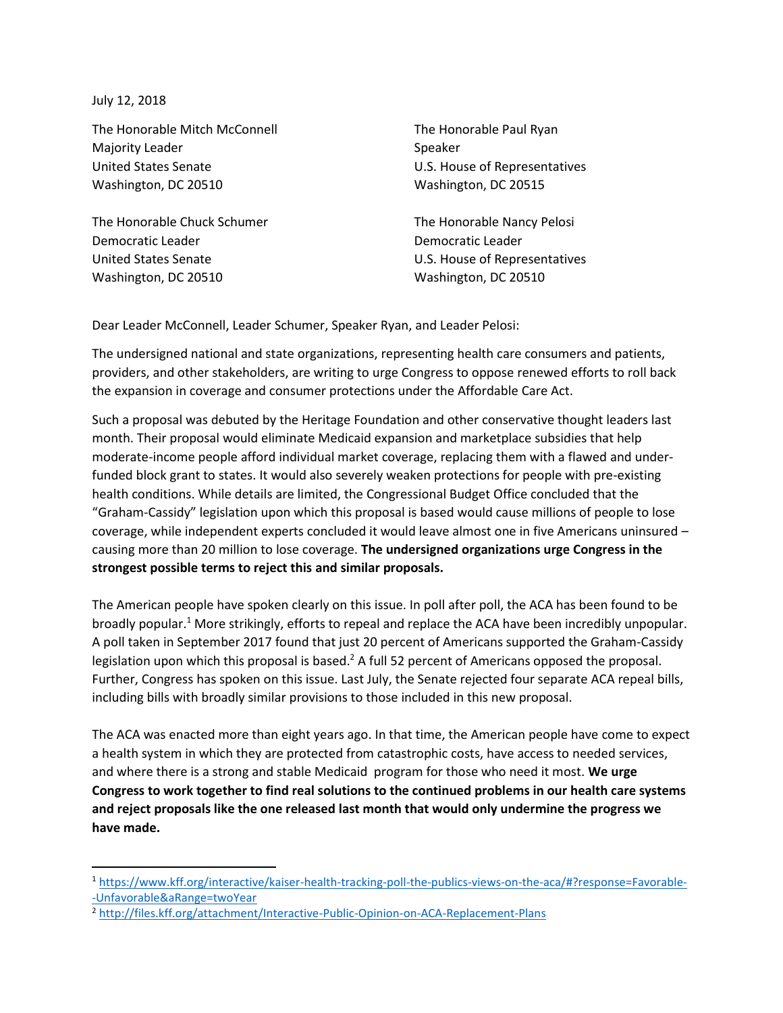July 12, 2018

 $\overline{\phantom{a}}$ 

The Honorable Mitch McConnell The Honorable Paul Ryan Majority Leader **Speaker** Speaker United States Senate U.S. House of Representatives Washington, DC 20510 Washington, DC 20515

The Honorable Chuck Schumer The Honorable Nancy Pelosi Democratic Leader **Democratic Leader Democratic Leader** United States Senate U.S. House of Representatives Washington, DC 20510 Washington, DC 20510

Dear Leader McConnell, Leader Schumer, Speaker Ryan, and Leader Pelosi:

The undersigned national and state organizations, representing health care consumers and patients, providers, and other stakeholders, are writing to urge Congress to oppose renewed efforts to roll back the expansion in coverage and consumer protections under the Affordable Care Act.

Such a proposal was debuted by the Heritage Foundation and other conservative thought leaders last month. Their proposal would eliminate Medicaid expansion and marketplace subsidies that help moderate-income people afford individual market coverage, replacing them with a flawed and underfunded block grant to states. It would also severely weaken protections for people with pre-existing health conditions. While details are limited, the Congressional Budget Office concluded that the "Graham-Cassidy" legislation upon which this proposal is based would cause millions of people to lose coverage, while independent experts concluded it would leave almost one in five Americans uninsured – causing more than 20 million to lose coverage. **The undersigned organizations urge Congress in the strongest possible terms to reject this and similar proposals.**

The American people have spoken clearly on this issue. In poll after poll, the ACA has been found to be broadly popular.<sup>1</sup> More strikingly, efforts to repeal and replace the ACA have been incredibly unpopular. A poll taken in September 2017 found that just 20 percent of Americans supported the Graham-Cassidy legislation upon which this proposal is based.<sup>2</sup> A full 52 percent of Americans opposed the proposal. Further, Congress has spoken on this issue. Last July, the Senate rejected four separate ACA repeal bills, including bills with broadly similar provisions to those included in this new proposal.

The ACA was enacted more than eight years ago. In that time, the American people have come to expect a health system in which they are protected from catastrophic costs, have access to needed services, and where there is a strong and stable Medicaid program for those who need it most. **We urge Congress to work together to find real solutions to the continued problems in our health care systems and reject proposals like the one released last month that would only undermine the progress we have made.** 

<sup>1</sup> [https://www.kff.org/interactive/kaiser-health-tracking-poll-the-publics-views-on-the-aca/#?response=Favorable-](https://www.kff.org/interactive/kaiser-health-tracking-poll-the-publics-views-on-the-aca/#?response=Favorable--Unfavorable&aRange=twoYear) [-Unfavorable&aRange=twoYear](https://www.kff.org/interactive/kaiser-health-tracking-poll-the-publics-views-on-the-aca/#?response=Favorable--Unfavorable&aRange=twoYear)

<sup>2</sup> <http://files.kff.org/attachment/Interactive-Public-Opinion-on-ACA-Replacement-Plans>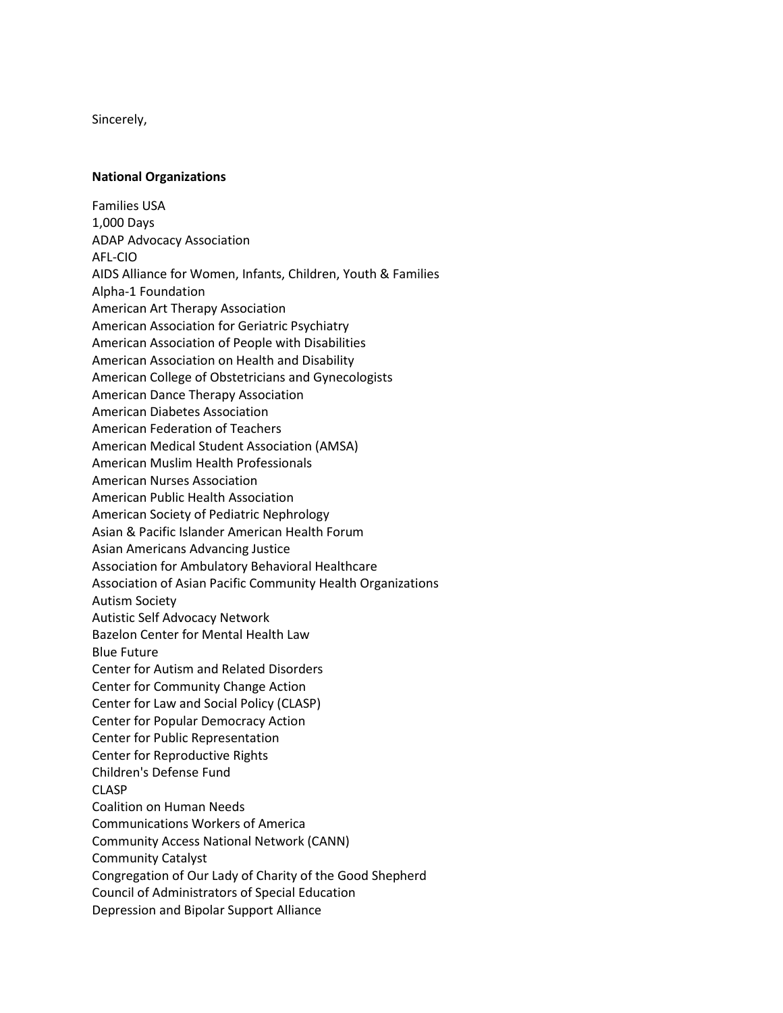Sincerely,

#### **National Organizations**

Families USA 1,000 Days ADAP Advocacy Association AFL-CIO AIDS Alliance for Women, Infants, Children, Youth & Families Alpha-1 Foundation American Art Therapy Association American Association for Geriatric Psychiatry American Association of People with Disabilities American Association on Health and Disability American College of Obstetricians and Gynecologists American Dance Therapy Association American Diabetes Association American Federation of Teachers American Medical Student Association (AMSA) American Muslim Health Professionals American Nurses Association American Public Health Association American Society of Pediatric Nephrology Asian & Pacific Islander American Health Forum Asian Americans Advancing Justice Association for Ambulatory Behavioral Healthcare Association of Asian Pacific Community Health Organizations Autism Society Autistic Self Advocacy Network Bazelon Center for Mental Health Law Blue Future Center for Autism and Related Disorders Center for Community Change Action Center for Law and Social Policy (CLASP) Center for Popular Democracy Action Center for Public Representation Center for Reproductive Rights Children's Defense Fund CLASP Coalition on Human Needs Communications Workers of America Community Access National Network (CANN) Community Catalyst Congregation of Our Lady of Charity of the Good Shepherd Council of Administrators of Special Education Depression and Bipolar Support Alliance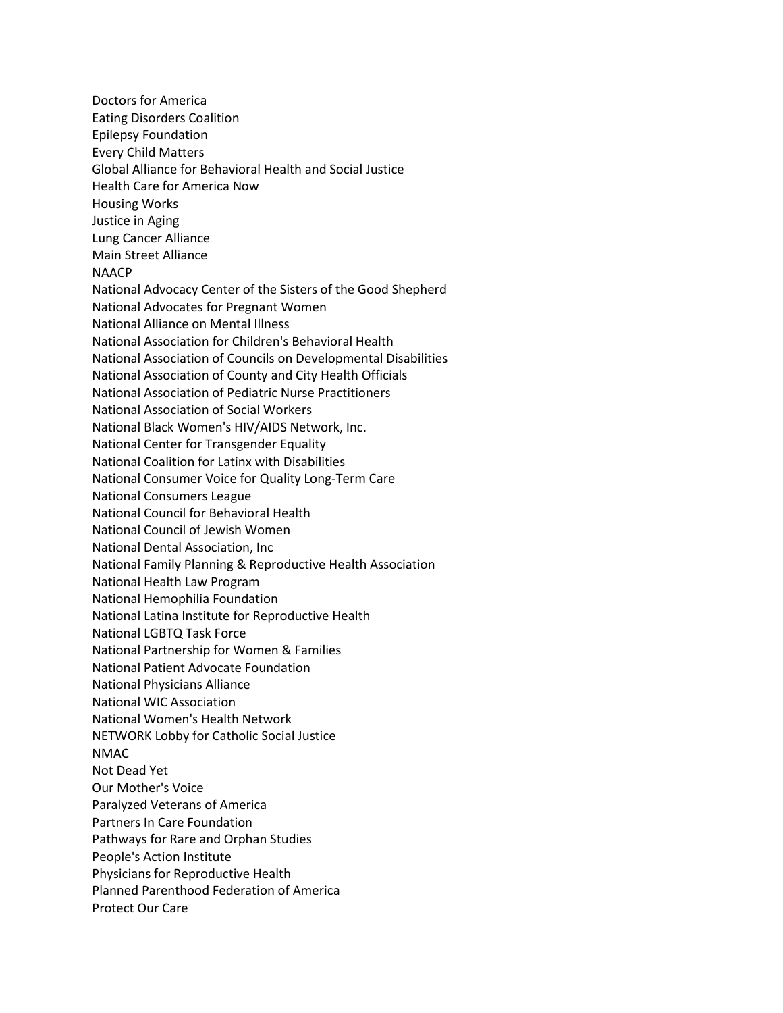Doctors for America Eating Disorders Coalition Epilepsy Foundation Every Child Matters Global Alliance for Behavioral Health and Social Justice Health Care for America Now Housing Works Justice in Aging Lung Cancer Alliance Main Street Alliance **NAACP** National Advocacy Center of the Sisters of the Good Shepherd National Advocates for Pregnant Women National Alliance on Mental Illness National Association for Children's Behavioral Health National Association of Councils on Developmental Disabilities National Association of County and City Health Officials National Association of Pediatric Nurse Practitioners National Association of Social Workers National Black Women's HIV/AIDS Network, Inc. National Center for Transgender Equality National Coalition for Latinx with Disabilities National Consumer Voice for Quality Long-Term Care National Consumers League National Council for Behavioral Health National Council of Jewish Women National Dental Association, Inc National Family Planning & Reproductive Health Association National Health Law Program National Hemophilia Foundation National Latina Institute for Reproductive Health National LGBTQ Task Force National Partnership for Women & Families National Patient Advocate Foundation National Physicians Alliance National WIC Association National Women's Health Network NETWORK Lobby for Catholic Social Justice NMAC Not Dead Yet Our Mother's Voice Paralyzed Veterans of America Partners In Care Foundation Pathways for Rare and Orphan Studies People's Action Institute Physicians for Reproductive Health Planned Parenthood Federation of America Protect Our Care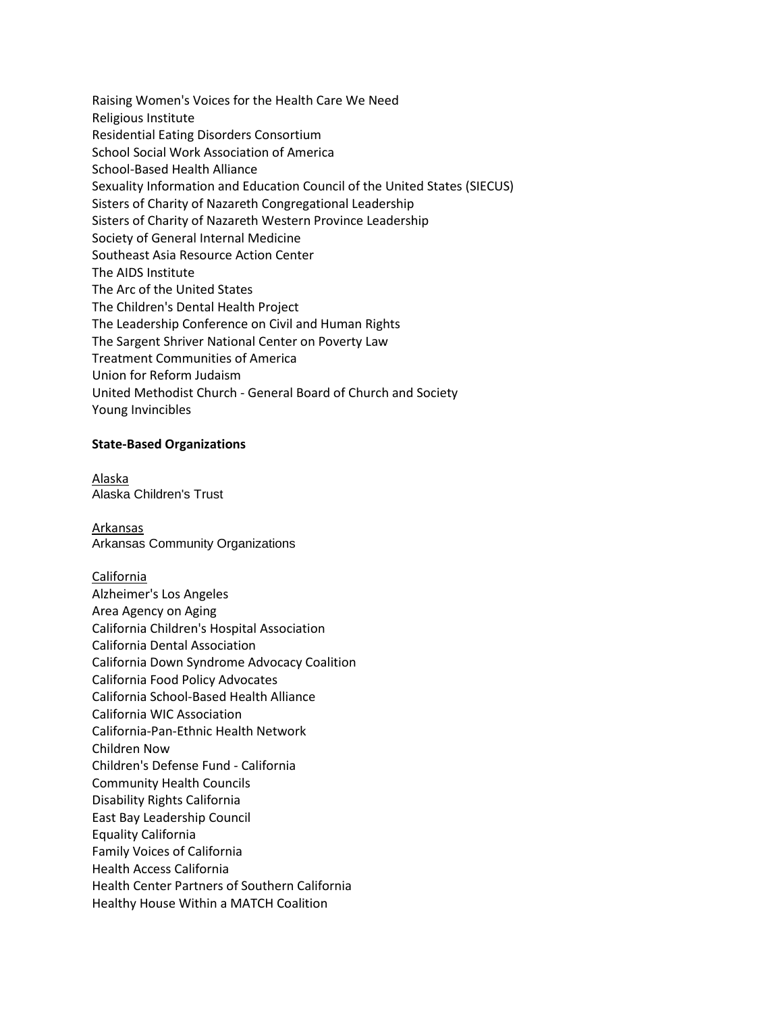Raising Women's Voices for the Health Care We Need Religious Institute Residential Eating Disorders Consortium School Social Work Association of America School-Based Health Alliance Sexuality Information and Education Council of the United States (SIECUS) Sisters of Charity of Nazareth Congregational Leadership Sisters of Charity of Nazareth Western Province Leadership Society of General Internal Medicine Southeast Asia Resource Action Center The AIDS Institute The Arc of the United States The Children's Dental Health Project The Leadership Conference on Civil and Human Rights The Sargent Shriver National Center on Poverty Law Treatment Communities of America Union for Reform Judaism United Methodist Church - General Board of Church and Society Young Invincibles

### **State-Based Organizations**

Alaska Alaska Children's Trust

Arkansas Arkansas Community Organizations

#### California

Alzheimer's Los Angeles Area Agency on Aging California Children's Hospital Association California Dental Association California Down Syndrome Advocacy Coalition California Food Policy Advocates California School-Based Health Alliance California WIC Association California-Pan-Ethnic Health Network Children Now Children's Defense Fund - California Community Health Councils Disability Rights California East Bay Leadership Council Equality California Family Voices of California Health Access California Health Center Partners of Southern California Healthy House Within a MATCH Coalition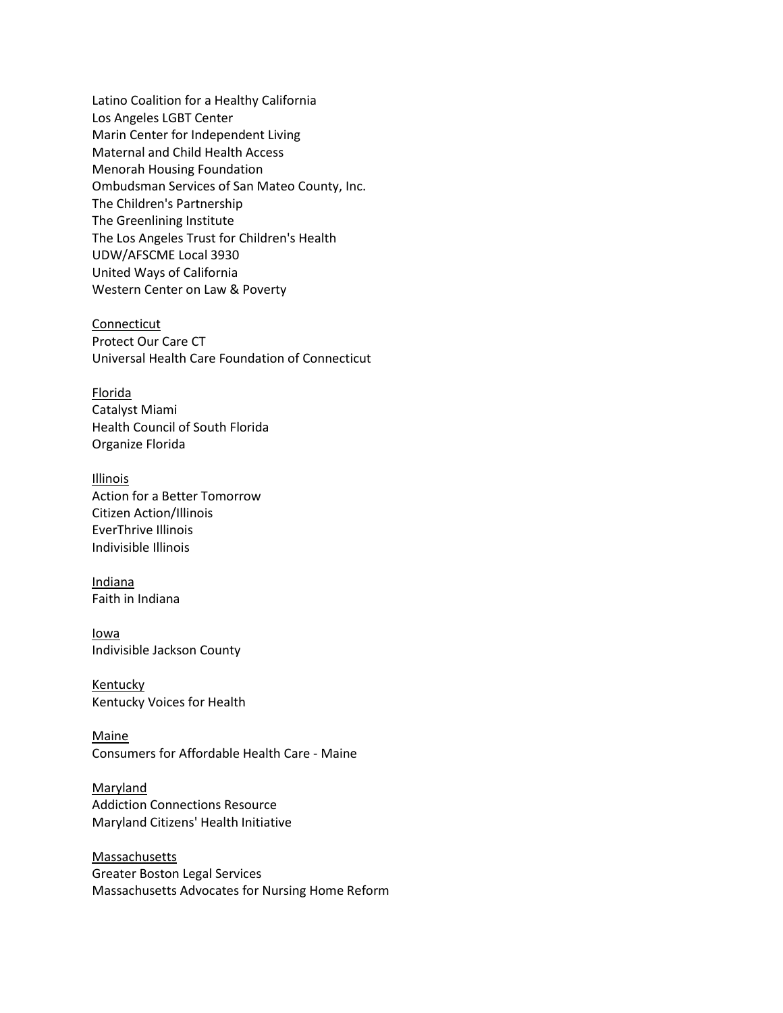Latino Coalition for a Healthy California Los Angeles LGBT Center Marin Center for Independent Living Maternal and Child Health Access Menorah Housing Foundation Ombudsman Services of San Mateo County, Inc. The Children's Partnership The Greenlining Institute The Los Angeles Trust for Children's Health UDW/AFSCME Local 3930 United Ways of California Western Center on Law & Poverty

Connecticut Protect Our Care CT Universal Health Care Foundation of Connecticut

Florida Catalyst Miami Health Council of South Florida Organize Florida

Illinois Action for a Better Tomorrow Citizen Action/Illinois EverThrive Illinois Indivisible Illinois

Indiana Faith in Indiana

Iowa Indivisible Jackson County

Kentucky Kentucky Voices for Health

Maine Consumers for Affordable Health Care - Maine

**Maryland** Addiction Connections Resource Maryland Citizens' Health Initiative

**Massachusetts** Greater Boston Legal Services Massachusetts Advocates for Nursing Home Reform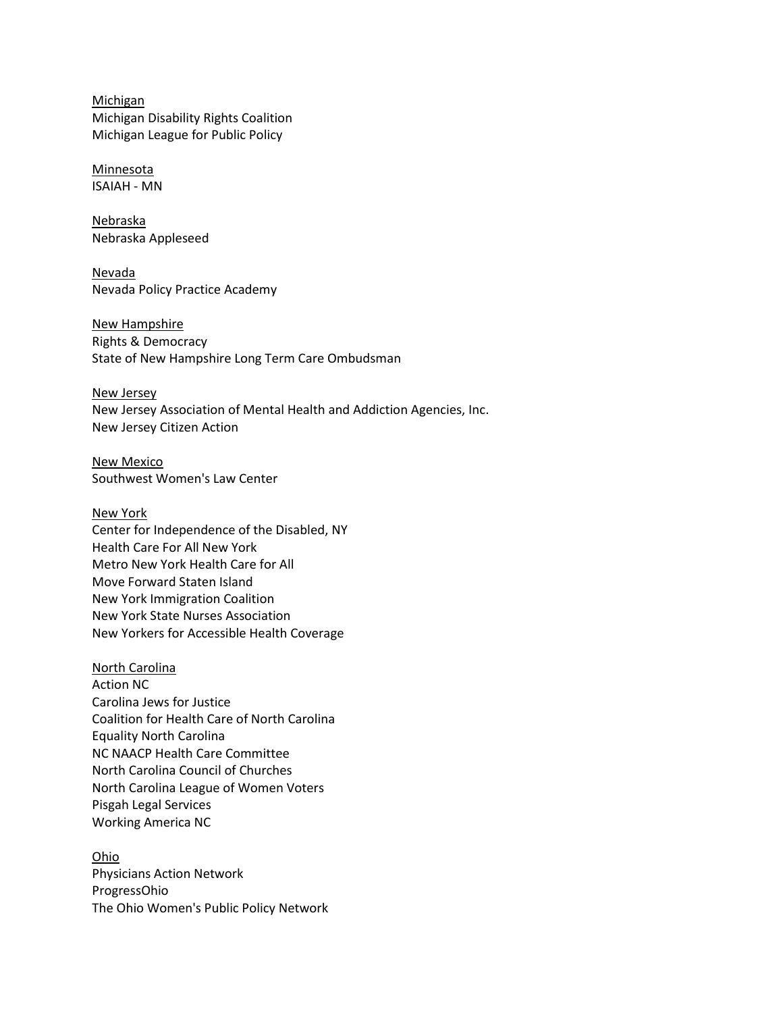Michigan Michigan Disability Rights Coalition Michigan League for Public Policy

Minnesota ISAIAH - MN

Nebraska Nebraska Appleseed

Nevada Nevada Policy Practice Academy

New Hampshire Rights & Democracy State of New Hampshire Long Term Care Ombudsman

New Jersey New Jersey Association of Mental Health and Addiction Agencies, Inc. New Jersey Citizen Action

New Mexico Southwest Women's Law Center

## New York Center for Independence of the Disabled, NY Health Care For All New York Metro New York Health Care for All

Move Forward Staten Island New York Immigration Coalition New York State Nurses Association New Yorkers for Accessible Health Coverage

North Carolina Action NC Carolina Jews for Justice Coalition for Health Care of North Carolina Equality North Carolina NC NAACP Health Care Committee North Carolina Council of Churches North Carolina League of Women Voters Pisgah Legal Services Working America NC

Ohio Physicians Action Network ProgressOhio The Ohio Women's Public Policy Network